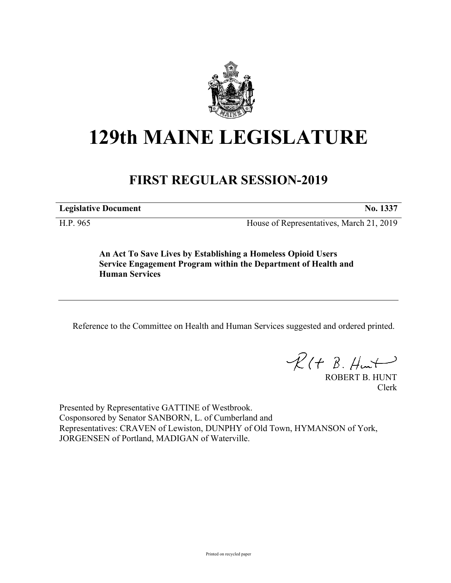

## **129th MAINE LEGISLATURE**

## **FIRST REGULAR SESSION-2019**

**Legislative Document No. 1337**

H.P. 965 House of Representatives, March 21, 2019

**An Act To Save Lives by Establishing a Homeless Opioid Users Service Engagement Program within the Department of Health and Human Services**

Reference to the Committee on Health and Human Services suggested and ordered printed.

 $\mathcal{R}(t \; \mathcal{B}, \mathcal{H}_{\mathsf{int}})$ 

ROBERT B. HUNT Clerk

Presented by Representative GATTINE of Westbrook. Cosponsored by Senator SANBORN, L. of Cumberland and Representatives: CRAVEN of Lewiston, DUNPHY of Old Town, HYMANSON of York, JORGENSEN of Portland, MADIGAN of Waterville.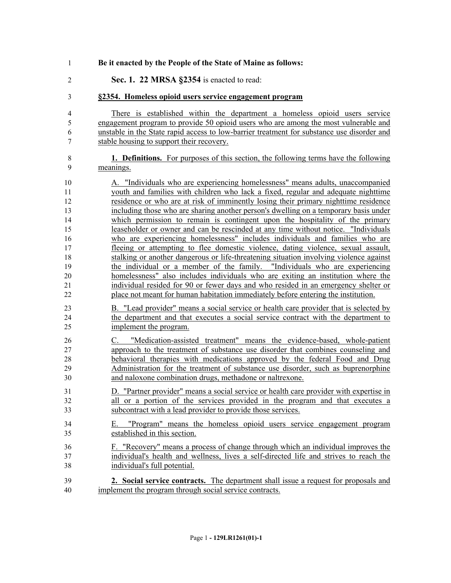| 1              | Be it enacted by the People of the State of Maine as follows:                                                                                                        |
|----------------|----------------------------------------------------------------------------------------------------------------------------------------------------------------------|
| $\overline{2}$ | Sec. 1. 22 MRSA §2354 is enacted to read:                                                                                                                            |
| $\mathfrak{Z}$ | §2354. Homeless opioid users service engagement program                                                                                                              |
| 4              | There is established within the department a homeless opioid users service                                                                                           |
| 5              | engagement program to provide 50 opioid users who are among the most vulnerable and                                                                                  |
| 6<br>7         | unstable in the State rapid access to low-barrier treatment for substance use disorder and<br>stable housing to support their recovery.                              |
| $8\,$          | <b>1. Definitions.</b> For purposes of this section, the following terms have the following                                                                          |
| 9              | meanings.                                                                                                                                                            |
| 10             | A. "Individuals who are experiencing homelessness" means adults, unaccompanied                                                                                       |
| 11             | youth and families with children who lack a fixed, regular and adequate nighttime                                                                                    |
| 12             | residence or who are at risk of imminently losing their primary nighttime residence                                                                                  |
| 13<br>14       | including those who are sharing another person's dwelling on a temporary basis under<br>which permission to remain is contingent upon the hospitality of the primary |
| 15             | leaseholder or owner and can be rescinded at any time without notice. "Individuals"                                                                                  |
| 16             | who are experiencing homelessness" includes individuals and families who are                                                                                         |
| 17             | fleeing or attempting to flee domestic violence, dating violence, sexual assault,                                                                                    |
| 18             | stalking or another dangerous or life-threatening situation involving violence against                                                                               |
| 19             | the individual or a member of the family. "Individuals who are experiencing                                                                                          |
| 20             | homelessness" also includes individuals who are exiting an institution where the                                                                                     |
| 21             | individual resided for 90 or fewer days and who resided in an emergency shelter or                                                                                   |
| 22             | place not meant for human habitation immediately before entering the institution.                                                                                    |
| 23             | B. "Lead provider" means a social service or health care provider that is selected by                                                                                |
| 24             | the department and that executes a social service contract with the department to                                                                                    |
| 25             | implement the program.                                                                                                                                               |
| 26             | "Medication-assisted treatment" means the evidence-based, whole-patient<br>C.                                                                                        |
| 27             | approach to the treatment of substance use disorder that combines counseling and                                                                                     |
| 28             | behavioral therapies with medications approved by the federal Food and Drug                                                                                          |
| 29             | Administration for the treatment of substance use disorder, such as buprenorphine                                                                                    |
| 30             | and naloxone combination drugs, methadone or naltrexone.                                                                                                             |
| 31             | D. "Partner provider" means a social service or health care provider with expertise in                                                                               |
| 32             | all or a portion of the services provided in the program and that executes a                                                                                         |
| 33             | subcontract with a lead provider to provide those services.                                                                                                          |
| 34             | "Program" means the homeless opioid users service engagement program<br>Е.                                                                                           |
| 35             | established in this section.                                                                                                                                         |
| 36             | F. "Recovery" means a process of change through which an individual improves the                                                                                     |
| 37             | individual's health and wellness, lives a self-directed life and strives to reach the                                                                                |
| 38             | individual's full potential.                                                                                                                                         |
| 39             | 2. Social service contracts. The department shall issue a request for proposals and                                                                                  |
| 40             | implement the program through social service contracts.                                                                                                              |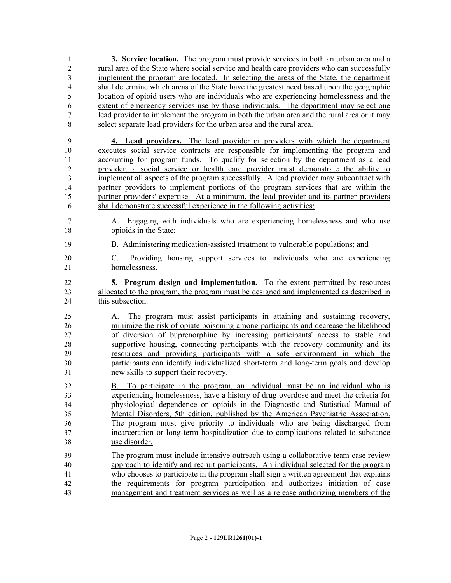| 1                | 3. Service location. The program must provide services in both an urban area and a                                                                                  |
|------------------|---------------------------------------------------------------------------------------------------------------------------------------------------------------------|
| $\overline{c}$   | rural area of the State where social service and health care providers who can successfully                                                                         |
| 3                | implement the program are located. In selecting the areas of the State, the department                                                                              |
| 4                | shall determine which areas of the State have the greatest need based upon the geographic                                                                           |
| 5                | location of opioid users who are individuals who are experiencing homelessness and the                                                                              |
| 6                | extent of emergency services use by those individuals. The department may select one                                                                                |
| $\boldsymbol{7}$ | lead provider to implement the program in both the urban area and the rural area or it may                                                                          |
| 8                | select separate lead providers for the urban area and the rural area.                                                                                               |
| 9                | 4. Lead providers. The lead provider or providers with which the department                                                                                         |
| 10               | executes social service contracts are responsible for implementing the program and                                                                                  |
| 11               | accounting for program funds. To qualify for selection by the department as a lead                                                                                  |
| 12               | provider, a social service or health care provider must demonstrate the ability to                                                                                  |
| 13               | implement all aspects of the program successfully. A lead provider may subcontract with                                                                             |
| 14               | partner providers to implement portions of the program services that are within the                                                                                 |
| 15               | partner providers' expertise. At a minimum, the lead provider and its partner providers                                                                             |
| 16               | shall demonstrate successful experience in the following activities:                                                                                                |
| 17               | A. Engaging with individuals who are experiencing homelessness and who use                                                                                          |
| 18               | opioids in the State;                                                                                                                                               |
| 19               | B. Administering medication-assisted treatment to vulnerable populations; and                                                                                       |
| 20               | C. Providing housing support services to individuals who are experiencing                                                                                           |
| 21               | homelessness.                                                                                                                                                       |
|                  |                                                                                                                                                                     |
| 22               |                                                                                                                                                                     |
|                  | 5. Program design and implementation. To the extent permitted by resources                                                                                          |
| 23<br>24         | allocated to the program, the program must be designed and implemented as described in<br>this subsection.                                                          |
| 25               |                                                                                                                                                                     |
| 26               | A. The program must assist participants in attaining and sustaining recovery,                                                                                       |
| 27               | minimize the risk of opiate poisoning among participants and decrease the likelihood                                                                                |
|                  | of diversion of buprenorphine by increasing participants' access to stable and                                                                                      |
| 28<br>29         | supportive housing, connecting participants with the recovery community and its                                                                                     |
| 30               | resources and providing participants with a safe environment in which the                                                                                           |
| 31               | participants can identify individualized short-term and long-term goals and develop<br>new skills to support their recovery.                                        |
| 32               | B. To participate in the program, an individual must be an individual who is                                                                                        |
| 33               | experiencing homelessness, have a history of drug overdose and meet the criteria for                                                                                |
| 34               | physiological dependence on opioids in the Diagnostic and Statistical Manual of                                                                                     |
| 35               | Mental Disorders, 5th edition, published by the American Psychiatric Association.                                                                                   |
| 36               |                                                                                                                                                                     |
| 37               | The program must give priority to individuals who are being discharged from<br>incarceration or long-term hospitalization due to complications related to substance |
| 38               | use disorder.                                                                                                                                                       |
| 39               | The program must include intensive outreach using a collaborative team case review                                                                                  |
| 40               | approach to identify and recruit participants. An individual selected for the program                                                                               |
| 41               | who chooses to participate in the program shall sign a written agreement that explains                                                                              |
| 42               | the requirements for program participation and authorizes initiation of case<br>management and treatment services as well as a release authorizing members of the   |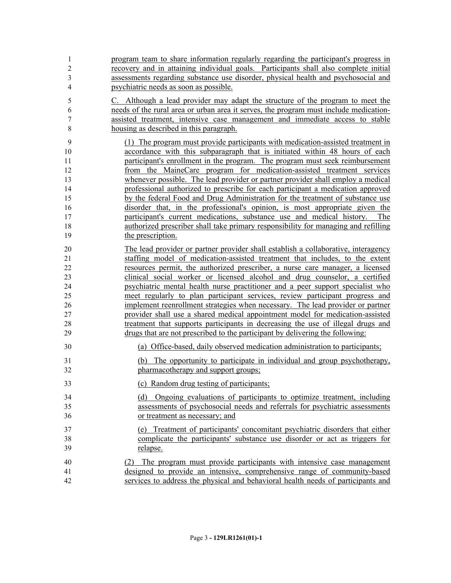| $\mathbf{1}$   | program team to share information regularly regarding the participant's progress in   |
|----------------|---------------------------------------------------------------------------------------|
| $\overline{2}$ | recovery and in attaining individual goals. Participants shall also complete initial  |
| 3              | assessments regarding substance use disorder, physical health and psychosocial and    |
| $\overline{4}$ | psychiatric needs as soon as possible.                                                |
| 5              | C. Although a lead provider may adapt the structure of the program to meet the        |
| 6              | needs of the rural area or urban area it serves, the program must include medication- |
| 7              | assisted treatment, intensive case management and immediate access to stable          |
| $\,$ 8 $\,$    | housing as described in this paragraph.                                               |
| 9              | (1) The program must provide participants with medication-assisted treatment in       |
| 10             | accordance with this subparagraph that is initiated within 48 hours of each           |
| 11             | participant's enrollment in the program. The program must seek reimbursement          |
| 12             | from the MaineCare program for medication-assisted treatment services                 |
| 13             | whenever possible. The lead provider or partner provider shall employ a medical       |
| 14             | professional authorized to prescribe for each participant a medication approved       |
| 15             | by the federal Food and Drug Administration for the treatment of substance use        |
| 16             | disorder that, in the professional's opinion, is most appropriate given the           |
| 17             | participant's current medications, substance use and medical history. The             |
| 18             | authorized prescriber shall take primary responsibility for managing and refilling    |
| 19             | the prescription.                                                                     |
| 20             | The lead provider or partner provider shall establish a collaborative, interagency    |
| 21             | staffing model of medication-assisted treatment that includes, to the extent          |
| 22             | resources permit, the authorized prescriber, a nurse care manager, a licensed         |
| 23             | clinical social worker or licensed alcohol and drug counselor, a certified            |
| 24             | psychiatric mental health nurse practitioner and a peer support specialist who        |
| 25             | meet regularly to plan participant services, review participant progress and          |
| 26             | implement reenrollment strategies when necessary. The lead provider or partner        |
| 27             | provider shall use a shared medical appointment model for medication-assisted         |
| 28             | treatment that supports participants in decreasing the use of illegal drugs and       |
| 29             | drugs that are not prescribed to the participant by delivering the following:         |
| 30             | (a) Office-based, daily observed medication administration to participants;           |
| 31             | (b) The opportunity to participate in individual and group psychotherapy,             |
| 32             | pharmacotherapy and support groups;                                                   |
| 33             | (c) Random drug testing of participants;                                              |
| 34             | (d) Ongoing evaluations of participants to optimize treatment, including              |
| 35             | assessments of psychosocial needs and referrals for psychiatric assessments           |
| 36             | or treatment as necessary; and                                                        |
| 37             | (e) Treatment of participants' concomitant psychiatric disorders that either          |
| 38             | complicate the participants' substance use disorder or act as triggers for            |
| 39             | relapse.                                                                              |
| 40             | (2) The program must provide participants with intensive case management              |
| 41             | designed to provide an intensive, comprehensive range of community-based              |
| 42             | services to address the physical and behavioral health needs of participants and      |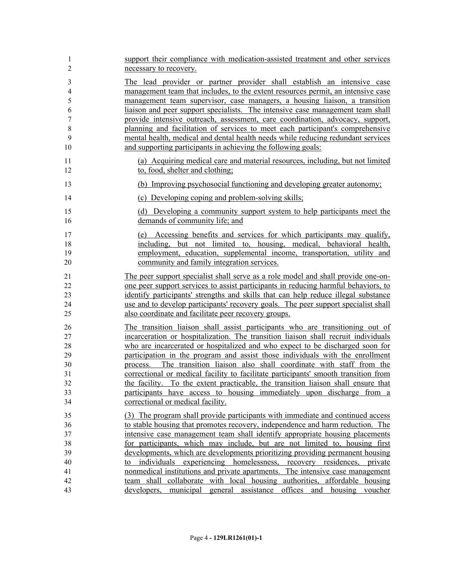| 1                    | support their compliance with medication-assisted treatment and other services                                                                                                                                                                                             |
|----------------------|----------------------------------------------------------------------------------------------------------------------------------------------------------------------------------------------------------------------------------------------------------------------------|
| $\overline{2}$       | necessary to recovery.                                                                                                                                                                                                                                                     |
| $\mathfrak{Z}$       | The lead provider or partner provider shall establish an intensive case                                                                                                                                                                                                    |
| $\overline{4}$       | management team that includes, to the extent resources permit, an intensive case                                                                                                                                                                                           |
| 5                    | management team supervisor, case managers, a housing liaison, a transition                                                                                                                                                                                                 |
| 6                    | liaison and peer support specialists. The intensive case management team shall                                                                                                                                                                                             |
| $\tau$               | provide intensive outreach, assessment, care coordination, advocacy, support,                                                                                                                                                                                              |
| 8                    | planning and facilitation of services to meet each participant's comprehensive                                                                                                                                                                                             |
| 9                    | mental health, medical and dental health needs while reducing redundant services                                                                                                                                                                                           |
| 10                   | and supporting participants in achieving the following goals:                                                                                                                                                                                                              |
| 11                   | (a) Acquiring medical care and material resources, including, but not limited                                                                                                                                                                                              |
| 12                   | to, food, shelter and clothing;                                                                                                                                                                                                                                            |
| 13                   | (b) Improving psychosocial functioning and developing greater autonomy;                                                                                                                                                                                                    |
| 14                   | (c) Developing coping and problem-solving skills;                                                                                                                                                                                                                          |
| 15                   | (d) Developing a community support system to help participants meet the                                                                                                                                                                                                    |
| 16                   | demands of community life; and                                                                                                                                                                                                                                             |
| 17<br>18<br>19<br>20 | Accessing benefits and services for which participants may qualify,<br>(e)<br>including, but not limited to, housing, medical, behavioral health,<br>employment, education, supplemental income, transportation, utility and<br>community and family integration services. |
| 21                   | The peer support specialist shall serve as a role model and shall provide one-on-                                                                                                                                                                                          |
| 22                   | one peer support services to assist participants in reducing harmful behaviors, to                                                                                                                                                                                         |
| 23                   | identify participants' strengths and skills that can help reduce illegal substance                                                                                                                                                                                         |
| 24                   | use and to develop participants' recovery goals. The peer support specialist shall                                                                                                                                                                                         |
| 25                   | also coordinate and facilitate peer recovery groups.                                                                                                                                                                                                                       |
| 26                   | The transition liaison shall assist participants who are transitioning out of                                                                                                                                                                                              |
| $27\,$               | incarceration or hospitalization. The transition liaison shall recruit individuals                                                                                                                                                                                         |
| 28                   | who are incarcerated or hospitalized and who expect to be discharged soon for                                                                                                                                                                                              |
| 29                   | participation in the program and assist those individuals with the enrollment                                                                                                                                                                                              |
| 30                   | process. The transition liaison also shall coordinate with staff from the                                                                                                                                                                                                  |
| 31                   | correctional or medical facility to facilitate participants' smooth transition from                                                                                                                                                                                        |
| 32                   | the facility. To the extent practicable, the transition liaison shall ensure that                                                                                                                                                                                          |
| 33                   | participants have access to housing immediately upon discharge from a                                                                                                                                                                                                      |
| 34                   | correctional or medical facility.                                                                                                                                                                                                                                          |
| 35                   | (3) The program shall provide participants with immediate and continued access                                                                                                                                                                                             |
| 36                   | to stable housing that promotes recovery, independence and harm reduction. The                                                                                                                                                                                             |
| 37                   | intensive case management team shall identify appropriate housing placements                                                                                                                                                                                               |
| 38                   | for participants, which may include, but are not limited to, housing first                                                                                                                                                                                                 |
| 39                   | developments, which are developments prioritizing providing permanent housing                                                                                                                                                                                              |
| 40                   | to individuals experiencing homelessness, recovery residences, private                                                                                                                                                                                                     |
| 41                   | nonmedical institutions and private apartments. The intensive case management                                                                                                                                                                                              |
| 42                   | team shall collaborate with local housing authorities, affordable housing                                                                                                                                                                                                  |
| 43                   | developers, municipal general assistance offices and housing voucher                                                                                                                                                                                                       |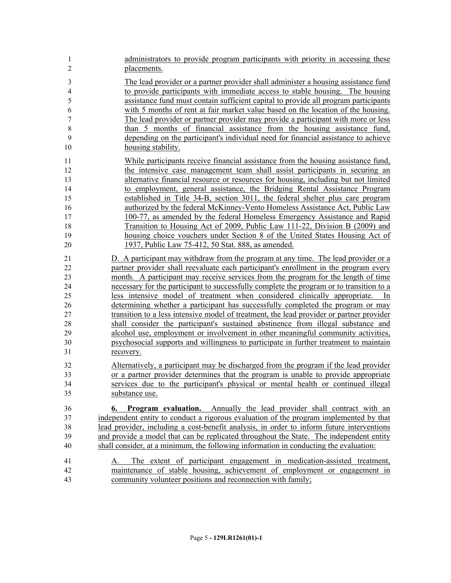| $\mathbf{1}$<br>2 | administrators to provide program participants with priority in accessing these<br>placements.                                                                     |
|-------------------|--------------------------------------------------------------------------------------------------------------------------------------------------------------------|
| 3<br>4            | The lead provider or a partner provider shall administer a housing assistance fund<br>to provide participants with immediate access to stable housing. The housing |
| 5                 | assistance fund must contain sufficient capital to provide all program participants                                                                                |
| 6                 | with 5 months of rent at fair market value based on the location of the housing.                                                                                   |
| $\boldsymbol{7}$  | The lead provider or partner provider may provide a participant with more or less                                                                                  |
| $\,$ 8 $\,$       | than 5 months of financial assistance from the housing assistance fund,                                                                                            |
| 9                 | depending on the participant's individual need for financial assistance to achieve                                                                                 |
| 10                | housing stability.                                                                                                                                                 |
| 11                | While participants receive financial assistance from the housing assistance fund,                                                                                  |
| 12                | the intensive case management team shall assist participants in securing an                                                                                        |
| 13                | alternative financial resource or resources for housing, including but not limited                                                                                 |
| 14                | to employment, general assistance, the Bridging Rental Assistance Program                                                                                          |
| 15                | established in Title 34-B, section 3011, the federal shelter plus care program                                                                                     |
| 16                | authorized by the federal McKinney-Vento Homeless Assistance Act, Public Law                                                                                       |
| 17                | 100-77, as amended by the federal Homeless Emergency Assistance and Rapid                                                                                          |
| 18                | Transition to Housing Act of 2009, Public Law 111-22, Division B (2009) and                                                                                        |
| 19                | housing choice vouchers under Section 8 of the United States Housing Act of                                                                                        |
| 20                | 1937, Public Law 75-412, 50 Stat. 888, as amended.                                                                                                                 |
| 21                | D. A participant may withdraw from the program at any time. The lead provider or a                                                                                 |
| 22                | partner provider shall reevaluate each participant's enrollment in the program every                                                                               |
| 23                | month. A participant may receive services from the program for the length of time                                                                                  |
| 24                | necessary for the participant to successfully complete the program or to transition to a                                                                           |
| 25                | less intensive model of treatment when considered clinically appropriate. In                                                                                       |
| 26                | determining whether a participant has successfully completed the program or may                                                                                    |
| 27                | transition to a less intensive model of treatment, the lead provider or partner provider                                                                           |
| 28                | shall consider the participant's sustained abstinence from illegal substance and                                                                                   |
| 29                | alcohol use, employment or involvement in other meaningful community activities,                                                                                   |
| 30                | psychosocial supports and willingness to participate in further treatment to maintain                                                                              |
| 31                | recovery.                                                                                                                                                          |
| 32                | Alternatively, a participant may be discharged from the program if the lead provider                                                                               |
| 33                | or a partner provider determines that the program is unable to provide appropriate                                                                                 |
| 34                | services due to the participant's physical or mental health or continued illegal                                                                                   |
| 35                | substance use.                                                                                                                                                     |
| 36                | <b>Program evaluation.</b> Annually the lead provider shall contract with an<br>6.                                                                                 |
| 37                | independent entity to conduct a rigorous evaluation of the program implemented by that                                                                             |
| 38                | lead provider, including a cost-benefit analysis, in order to inform future interventions                                                                          |
| 39                | and provide a model that can be replicated throughout the State. The independent entity                                                                            |
| 40                | shall consider, at a minimum, the following information in conducting the evaluation:                                                                              |
| 41                | A. The extent of participant engagement in medication-assisted treatment,                                                                                          |
| 42                | maintenance of stable housing, achievement of employment or engagement in                                                                                          |
| 43                | community volunteer positions and reconnection with family;                                                                                                        |